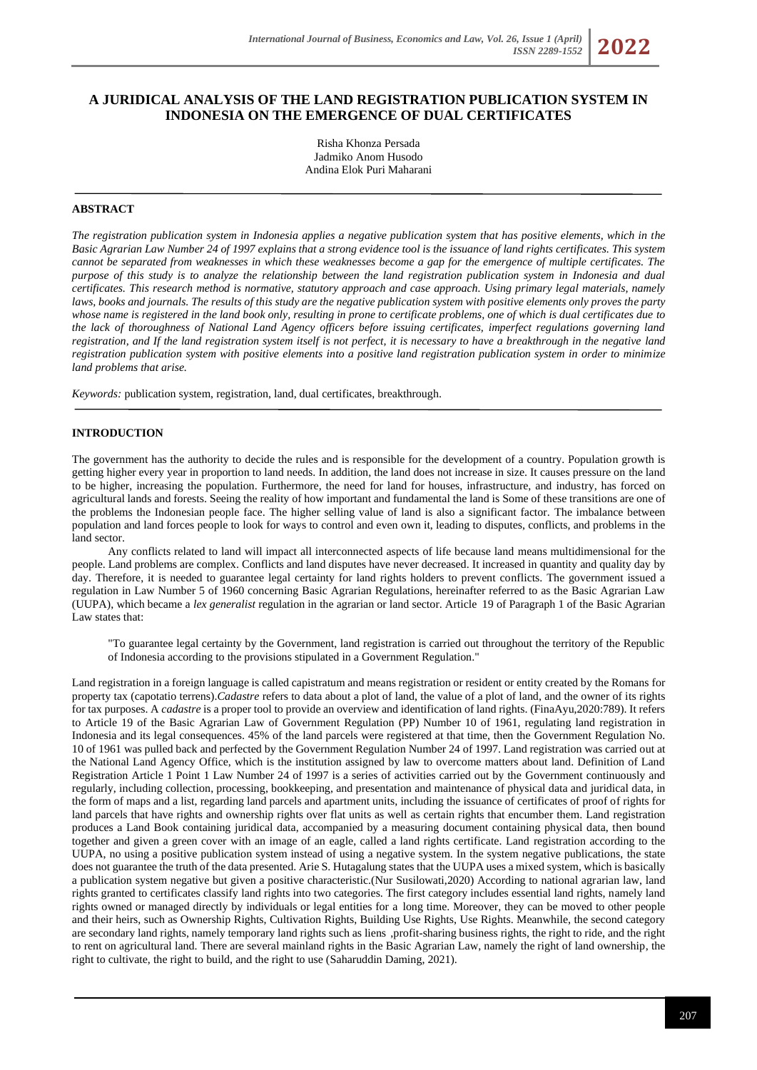# **A JURIDICAL ANALYSIS OF THE LAND REGISTRATION PUBLICATION SYSTEM IN INDONESIA ON THE EMERGENCE OF DUAL CERTIFICATES**

Risha Khonza Persada Jadmiko Anom Husodo Andina Elok Puri Maharani

## **ABSTRACT**

*The registration publication system in Indonesia applies a negative publication system that has positive elements, which in the Basic Agrarian Law Number 24 of 1997 explains that a strong evidence tool is the issuance of land rights certificates. This system cannot be separated from weaknesses in which these weaknesses become a gap for the emergence of multiple certificates. The purpose of this study is to analyze the relationship between the land registration publication system in Indonesia and dual certificates. This research method is normative, statutory approach and case approach. Using primary legal materials, namely laws, books and journals. The results of this study are the negative publication system with positive elements only proves the party whose name is registered in the land book only, resulting in prone to certificate problems, one of which is dual certificates due to the lack of thoroughness of National Land Agency officers before issuing certificates, imperfect regulations governing land registration, and If the land registration system itself is not perfect, it is necessary to have a breakthrough in the negative land registration publication system with positive elements into a positive land registration publication system in order to minimize land problems that arise.*

*Keywords:* publication system, registration, land, dual certificates, breakthrough.

# **INTRODUCTION**

The government has the authority to decide the rules and is responsible for the development of a country. Population growth is getting higher every year in proportion to land needs. In addition, the land does not increase in size. It causes pressure on the land to be higher, increasing the population. Furthermore, the need for land for houses, infrastructure, and industry, has forced on agricultural lands and forests. Seeing the reality of how important and fundamental the land is Some of these transitions are one of the problems the Indonesian people face. The higher selling value of land is also a significant factor. The imbalance between population and land forces people to look for ways to control and even own it, leading to disputes, conflicts, and problems in the land sector.

Any conflicts related to land will impact all interconnected aspects of life because land means multidimensional for the people. Land problems are complex. Conflicts and land disputes have never decreased. It increased in quantity and quality day by day. Therefore, it is needed to guarantee legal certainty for land rights holders to prevent conflicts. The government issued a regulation in Law Number 5 of 1960 concerning Basic Agrarian Regulations, hereinafter referred to as the Basic Agrarian Law (UUPA), which became a *lex generalist* regulation in the agrarian or land sector. Article 19 of Paragraph 1 of the Basic Agrarian Law states that:

"To guarantee legal certainty by the Government, land registration is carried out throughout the territory of the Republic of Indonesia according to the provisions stipulated in a Government Regulation."

Land registration in a foreign language is called capistratum and means registration or resident or entity created by the Romans for property tax (capotatio terrens).*Cadastre* refers to data about a plot of land, the value of a plot of land, and the owner of its rights for tax purposes. A *cadastre* is a proper tool to provide an overview and identification of land rights. (FinaAyu,2020:789). It refers to Article 19 of the Basic Agrarian Law of Government Regulation (PP) Number 10 of 1961, regulating land registration in Indonesia and its legal consequences. 45% of the land parcels were registered at that time, then the Government Regulation No. 10 of 1961 was pulled back and perfected by the Government Regulation Number 24 of 1997. Land registration was carried out at the National Land Agency Office, which is the institution assigned by law to overcome matters about land. Definition of Land Registration Article 1 Point 1 Law Number 24 of 1997 is a series of activities carried out by the Government continuously and regularly, including collection, processing, bookkeeping, and presentation and maintenance of physical data and juridical data, in the form of maps and a list, regarding land parcels and apartment units, including the issuance of certificates of proof of rights for land parcels that have rights and ownership rights over flat units as well as certain rights that encumber them. Land registration produces a Land Book containing juridical data, accompanied by a measuring document containing physical data, then bound together and given a green cover with an image of an eagle, called a land rights certificate. Land registration according to the UUPA, no using a positive publication system instead of using a negative system. In the system negative publications, the state does not guarantee the truth of the data presented. Arie S. Hutagalung states that the UUPA uses a mixed system, which is basically a publication system negative but given a positive characteristic.(Nur Susilowati,2020) According to national agrarian law, land rights granted to certificates classify land rights into two categories. The first category includes essential land rights, namely land rights owned or managed directly by individuals or legal entities for a long time. Moreover, they can be moved to other people and their heirs, such as Ownership Rights, Cultivation Rights, Building Use Rights, Use Rights. Meanwhile, the second category are secondary land rights, namely temporary land rights such as liens, profit-sharing business rights, the right to ride, and the right to rent on agricultural land. There are several mainland rights in the Basic Agrarian Law, namely the right of land ownership, the right to cultivate, the right to build, and the right to use (Saharuddin Daming, 2021).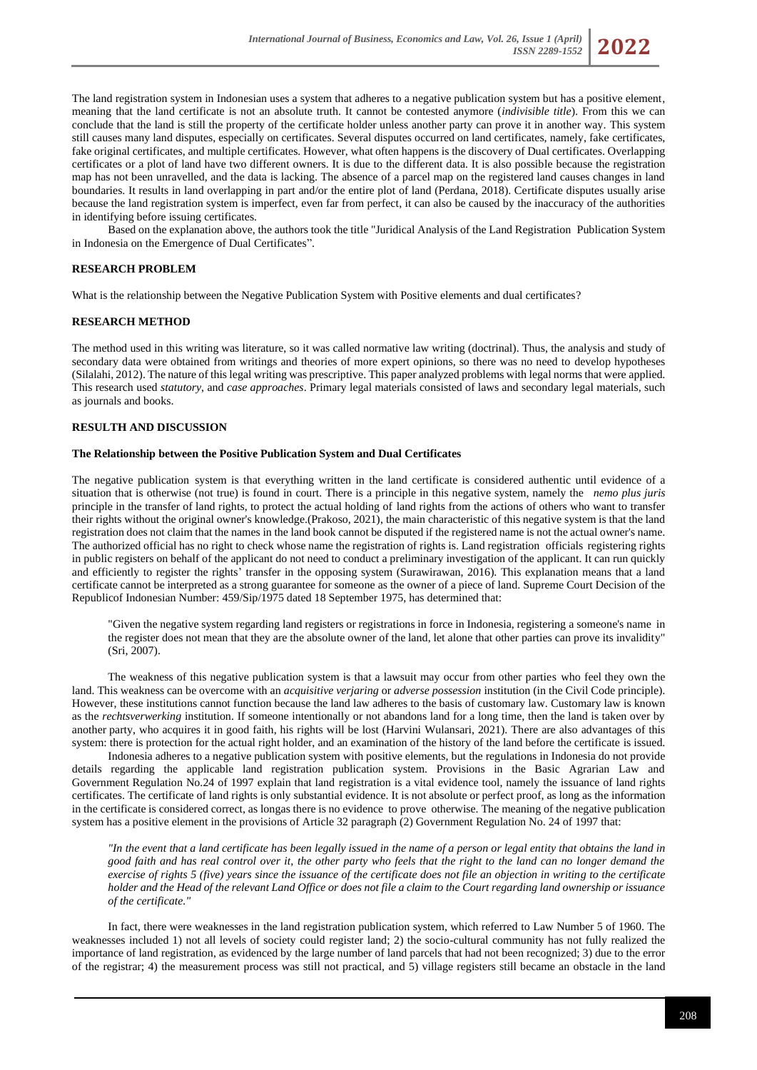

The land registration system in Indonesian uses a system that adheres to a negative publication system but has a positive element, meaning that the land certificate is not an absolute truth. It cannot be contested anymore (*indivisible title*). From this we can conclude that the land is still the property of the certificate holder unless another party can prove it in another way. This system still causes many land disputes, especially on certificates. Several disputes occurred on land certificates, namely, fake certificates, fake original certificates, and multiple certificates. However, what often happens is the discovery of Dual certificates. Overlapping certificates or a plot of land have two different owners. It is due to the different data. It is also possible because the registration map has not been unravelled, and the data is lacking. The absence of a parcel map on the registered land causes changes in land boundaries. It results in land overlapping in part and/or the entire plot of land (Perdana, 2018). Certificate disputes usually arise because the land registration system is imperfect, even far from perfect, it can also be caused by the inaccuracy of the authorities in identifying before issuing certificates.

Based on the explanation above, the authors took the title "Juridical Analysis of the Land Registration Publication System in Indonesia on the Emergence of Dual Certificates".

## **RESEARCH PROBLEM**

What is the relationship between the Negative Publication System with Positive elements and dual certificates?

## **RESEARCH METHOD**

The method used in this writing was literature, so it was called normative law writing (doctrinal). Thus, the analysis and study of secondary data were obtained from writings and theories of more expert opinions, so there was no need to develop hypotheses (Silalahi, 2012). The nature of this legal writing was prescriptive. This paper analyzed problems with legal norms that were applied. This research used *statutory*, and *case approaches*. Primary legal materials consisted of laws and secondary legal materials, such as journals and books.

### **RESULTH AND DISCUSSION**

#### **The Relationship between the Positive Publication System and Dual Certificates**

The negative publication system is that everything written in the land certificate is considered authentic until evidence of a situation that is otherwise (not true) is found in court. There is a principle in this negative system, namely the n*nemo plus juris*  principle in the transfer of land rights, to protect the actual holding of land rights from the actions of others who want to transfer their rights without the original owner's knowledge.(Prakoso, 2021), the main characteristic of this negative system is that the land registration does not claim that the names in the land book cannot be disputed if the registered name is not the actual owner's name. The authorized official has no right to check whose name the registration of rights is. Land registration officials registering rights in public registers on behalf of the applicant do not need to conduct a preliminary investigation of the applicant. It can run quickly and efficiently to register the rights' transfer in the opposing system (Surawirawan, 2016). This explanation means that a land certificate cannot be interpreted as a strong guarantee for someone as the owner of a piece of land. Supreme Court Decision of the Republicof Indonesian Number: 459/Sip/1975 dated 18 September 1975, has determined that:

"Given the negative system regarding land registers or registrations in force in Indonesia, registering a someone's name in the register does not mean that they are the absolute owner of the land, let alone that other parties can prove its invalidity" (Sri, 2007).

The weakness of this negative publication system is that a lawsuit may occur from other parties who feel they own the land. This weakness can be overcome with an *acquisitive verjaring* or *adverse possession* institution (in the Civil Code principle). However, these institutions cannot function because the land law adheres to the basis of customary law. Customary law is known as the *rechtsverwerking* institution. If someone intentionally or not abandons land for a long time, then the land is taken over by another party, who acquires it in good faith, his rights will be lost (Harvini Wulansari, 2021). There are also advantages of this system: there is protection for the actual right holder, and an examination of the history of the land before the certificate is issued.

Indonesia adheres to a negative publication system with positive elements, but the regulations in Indonesia do not provide details regarding the applicable land registration publication system. Provisions in the Basic Agrarian Law and Government Regulation No.24 of 1997 explain that land registration is a vital evidence tool, namely the issuance of land rights certificates. The certificate of land rights is only substantial evidence. It is not absolute or perfect proof, as long as the information in the certificate is considered correct, as longas there is no evidence to prove otherwise. The meaning of the negative publication system has a positive element in the provisions of Article 32 paragraph (2) Government Regulation No. 24 of 1997 that:

*"In the event that a land certificate has been legally issued in the name of a person or legal entity that obtains the land in good faith and has real control over it, the other party who feels that the right to the land can no longer demand the exercise of rights 5 (five) years since the issuance of the certificate does not file an objection in writing to the certificate holder and the Head of the relevant Land Office or does not file a claim to the Court regarding land ownership or issuance of the certificate."*

In fact, there were weaknesses in the land registration publication system, which referred to Law Number 5 of 1960. The weaknesses included 1) not all levels of society could register land; 2) the socio-cultural community has not fully realized the importance of land registration, as evidenced by the large number of land parcels that had not been recognized; 3) due to the error of the registrar; 4) the measurement process was still not practical, and  $\bar{5}$ ) village registers still became an obstacle in the land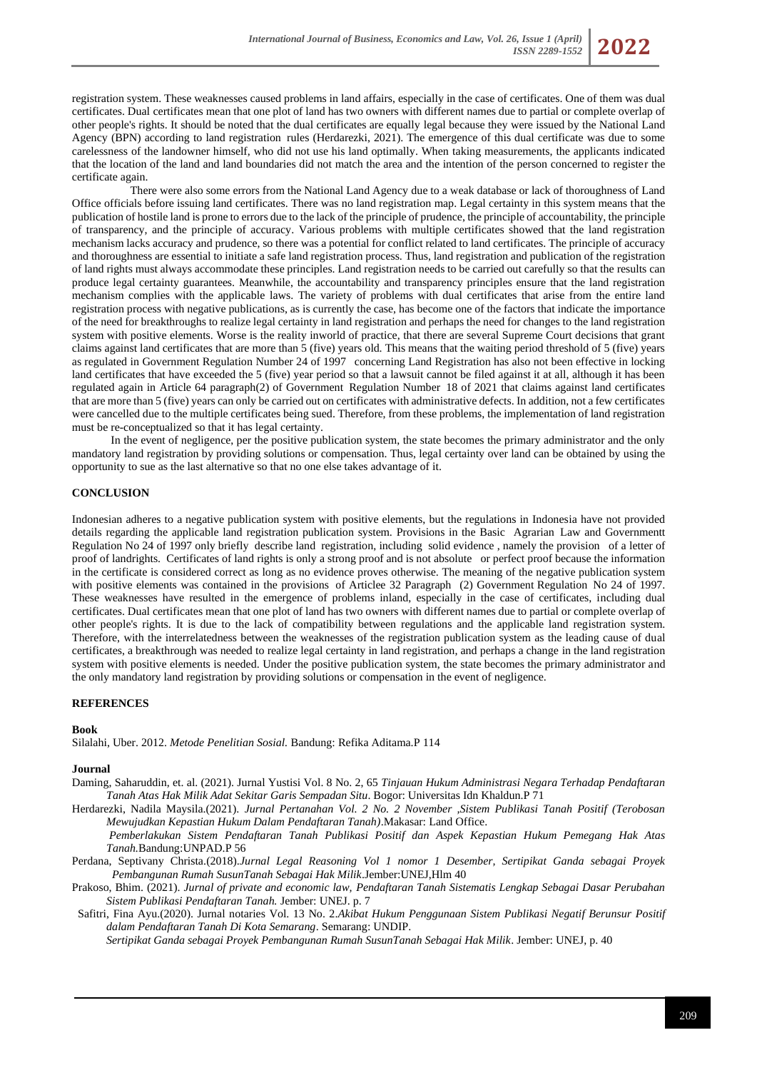

registration system. These weaknesses caused problems in land affairs, especially in the case of certificates. One of them was dual certificates. Dual certificates mean that one plot of land has two owners with different names due to partial or complete overlap of other people's rights. It should be noted that the dual certificates are equally legal because they were issued by the National Land Agency (BPN) according to land registration rules (Herdarezki, 2021). The emergence of this dual certificate was due to some carelessness of the landowner himself, who did not use his land optimally. When taking measurements, the applicants indicated that the location of the land and land boundaries did not match the area and the intention of the person concerned to register the certificate again.

There were also some errors from the National Land Agency due to a weak database or lack of thoroughness of Land Office officials before issuing land certificates. There was no land registration map. Legal certainty in this system means that the publication of hostile land is prone to errors due to the lack of the principle of prudence, the principle of accountability, the principle of transparency, and the principle of accuracy. Various problems with multiple certificates showed that the land registration mechanism lacks accuracy and prudence, so there was a potential for conflict related to land certificates. The principle of accuracy and thoroughness are essential to initiate a safe land registration process. Thus, land registration and publication of the registration of land rights must always accommodate these principles. Land registration needs to be carried out carefully so that the results can produce legal certainty guarantees. Meanwhile, the accountability and transparency principles ensure that the land registration mechanism complies with the applicable laws. The variety of problems with dual certificates that arise from the entire land registration process with negative publications, as is currently the case, has become one of the factors that indicate the importance of the need for breakthroughs to realize legal certainty in land registration and perhaps the need for changes to the land registration system with positive elements. Worse is the reality inworld of practice, that there are several Supreme Court decisions that grant claims against land certificates that are more than 5 (five) years old. This means that the waiting period threshold of 5 (five) years as regulated in Government Regulation Number 24 of 1997 concerning Land Registration has also not been effective in locking land certificates that have exceeded the 5 (five) year period so that a lawsuit cannot be filed against it at all, although it has been regulated again in Article 64 paragraph(2) of Government Regulation Number 18 of 2021 that claims against land certificates that are more than 5 (five) years can only be carried out on certificates with administrative defects. In addition, not a few certificates were cancelled due to the multiple certificates being sued. Therefore, from these problems, the implementation of land registration must be re-conceptualized so that it has legal certainty.

In the event of negligence, per the positive publication system, the state becomes the primary administrator and the only mandatory land registration by providing solutions or compensation. Thus, legal certainty over land can be obtained by using the opportunity to sue as the last alternative so that no one else takes advantage of it.

# **CONCLUSION**

Indonesian adheres to a negative publication system with positive elements, but the regulations in Indonesia have not provided details regarding the applicable land registration publication system. Provisions in the Basic Agrarian Law and Governmentt Regulation No 24 of 1997 only briefly describe land registration, including solid evidence, namely the provision of a letter of proof of landrights. Certificates of land rights is only a strong proof and is not absolute or perfect proof because the information in the certificate is considered correct as long as no evidence proves otherwise. The meaning of the negative publication system with positive elements was contained in the provisions of Articlee 32 Paragraph (2) Government Regulation No 24 of 1997. These weaknesses have resulted in the emergence of problems inland, especially in the case of certificates, including dual certificates. Dual certificates mean that one plot of land has two owners with different names due to partial or complete overlap of other people's rights. It is due to the lack of compatibility between regulations and the applicable land registration system. Therefore, with the interrelatedness between the weaknesses of the registration publication system as the leading cause of dual certificates, a breakthrough was needed to realize legal certainty in land registration, and perhaps a change in the land registration system with positive elements is needed. Under the positive publication system, the state becomes the primary administrator and the only mandatory land registration by providing solutions or compensation in the event of negligence.

# **REFERENCES**

#### **Book**

Silalahi, Uber. 2012. *Metode Penelitian Sosial.* Bandung: Refika Aditama.P 114

#### **Journal**

- Daming, Saharuddin, et. al. (2021). Jurnal Yustisi Vol. 8 No. 2, 65 *Tinjauan Hukum Administrasi Negara Terhadap Pendaftaran Tanah Atas Hak Milik Adat Sekitar Garis Sempadan Situ*. Bogor: Universitas Idn Khaldun.P 71
- Herdarezki, Nadila Maysila.(2021). *Jurnal Pertanahan Vol. 2 No. 2 November ,Sistem Publikasi Tanah Positif (Terobosan Mewujudkan Kepastian Hukum Dalam Pendaftaran Tanah)*.Makasar: Land Office.
	- *Pemberlakukan Sistem Pendaftaran Tanah Publikasi Positif dan Aspek Kepastian Hukum Pemegang Hak Atas Tanah.*Bandung:UNPAD.P 56
- Perdana, Septivany Christa.(2018).*Jurnal Legal Reasoning Vol 1 nomor 1 Desember, Sertipikat Ganda sebagai Proyek Pembangunan Rumah SusunTanah Sebagai Hak Milik*.Jember:UNEJ,Hlm 40
- Prakoso, Bhim. (2021). *Jurnal of private and economic law, Pendaftaran Tanah Sistematis Lengkap Sebagai Dasar Perubahan Sistem Publikasi Pendaftaran Tanah.* Jember: UNEJ. p. 7
- Safitri, Fina Ayu.(2020). Jurnal notaries Vol. 13 No. 2.*Akibat Hukum Penggunaan Sistem Publikasi Negatif Berunsur Positif dalam Pendaftaran Tanah Di Kota Semarang*. Semarang: UNDIP.

*Sertipikat Ganda sebagai Proyek Pembangunan Rumah SusunTanah Sebagai Hak Milik*. Jember: UNEJ, p. 40